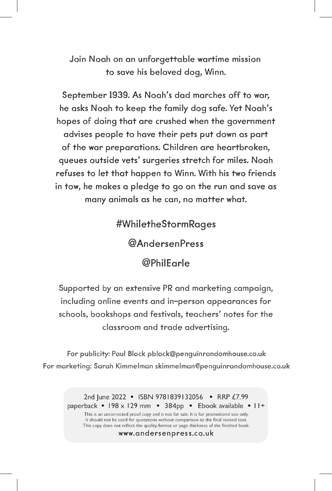Join Noah on an unforgettable wartime mission to save his beloved dog, Winn.

September 1939. As Noah's dad marches off to war, he asks Noah to keep the family dog safe. Yet Noah's hopes of doing that are crushed when the government advises people to have their pets put down as part of the war preparations. Children are heartbroken, queues outside vets' surgeries stretch for miles. Noah refuses to let that happen to Winn. With his two friends in tow, he makes a pledge to go on the run and save as many animals as he can, no matter what.

#WhiletheStormRages

@AndersenPress

@PhilEarle

Supported by an extensive PR and marketing campaign, including online events and in-person appearances for schools, bookshops and festivals, teachers' notes for the classroom and trade advertising.

For publicity: Paul Black pblack@penguinrandomhouse.co.uk For marketing: Sarah Kimmelman skimmelman@penguinrandomhouse.co.uk

2nd June 2022 • ISBN 9781839132056 • RRP £7.99 paperback • 198 x 129 mm • 384pp • Ebook available • 11+ This is an uncorrected proof copy and is not for sale. It is for promotional use only. It should not be used for quotations without comparison to the final revised text. This copy does not reflect the quality, format or page thickness of the finished book. www.andersenpress.co.uk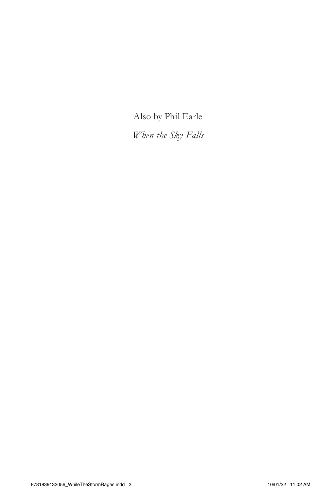Also by Phil Earle

*When the Sky Falls*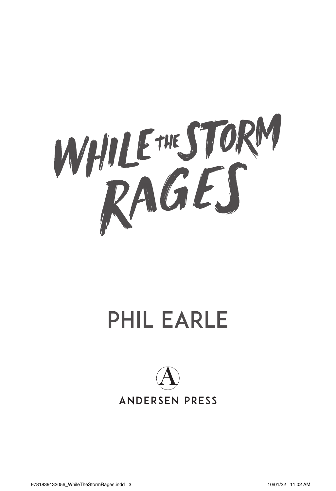

## Phil Earle

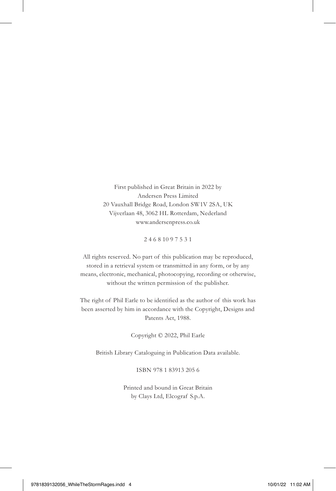First published in Great Britain in 2022 by Andersen Press Limited 20 Vauxhall Bridge Road, London SW1V 2SA, UK Vijverlaan 48, 3062 HL Rotterdam, Nederland www.andersenpress.co.uk

2 4 6 8 10 9 7 5 3 1

All rights reserved. No part of this publication may be reproduced, stored in a retrieval system or transmitted in any form, or by any means, electronic, mechanical, photocopying, recording or otherwise, without the written permission of the publisher.

The right of Phil Earle to be identified as the author of this work has been asserted by him in accordance with the Copyright, Designs and Patents Act, 1988.

Copyright © 2022, Phil Earle

British Library Cataloguing in Publication Data available.

ISBN 978 1 83913 205 6

Printed and bound in Great Britain by Clays Ltd, Elcograf S.p.A.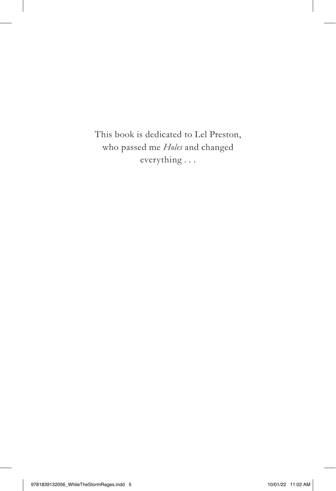This book is dedicated to Lel Preston, who passed me *Holes* and changed everything . . .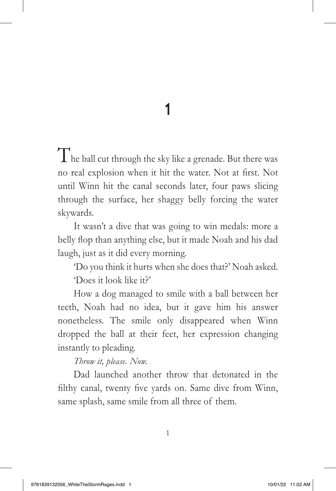1

The ball cut through the sky like a grenade. But there was no real explosion when it hit the water. Not at first. Not until Winn hit the canal seconds later, four paws slicing through the surface, her shaggy belly forcing the water skywards.

It wasn't a dive that was going to win medals: more a belly flop than anything else, but it made Noah and his dad laugh, just as it did every morning.

'Do you think it hurts when she does that?' Noah asked. 'Does it look like it?'

How a dog managed to smile with a ball between her teeth, Noah had no idea, but it gave him his answer nonetheless. The smile only disappeared when Winn dropped the ball at their feet, her expression changing instantly to pleading.

## *Throw it, please. Now.*

Dad launched another throw that detonated in the filthy canal, twenty five yards on. Same dive from Winn, same splash, same smile from all three of them.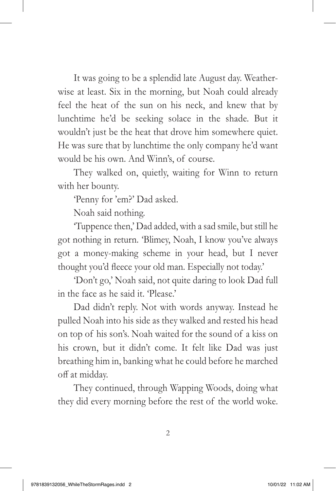It was going to be a splendid late August day. Weatherwise at least. Six in the morning, but Noah could already feel the heat of the sun on his neck, and knew that by lunchtime he'd be seeking solace in the shade. But it wouldn't just be the heat that drove him somewhere quiet. He was sure that by lunchtime the only company he'd want would be his own. And Winn's, of course.

They walked on, quietly, waiting for Winn to return with her bounty.

'Penny for 'em?' Dad asked.

Noah said nothing.

'Tuppence then,' Dad added, with a sad smile, but still he got nothing in return. 'Blimey, Noah, I know you've always got a money-making scheme in your head, but I never thought you'd fleece your old man. Especially not today.'

'Don't go,' Noah said, not quite daring to look Dad full in the face as he said it. 'Please.'

Dad didn't reply. Not with words anyway. Instead he pulled Noah into his side as they walked and rested his head on top of his son's. Noah waited for the sound of a kiss on his crown, but it didn't come. It felt like Dad was just breathing him in, banking what he could before he marched off at midday.

They continued, through Wapping Woods, doing what they did every morning before the rest of the world woke.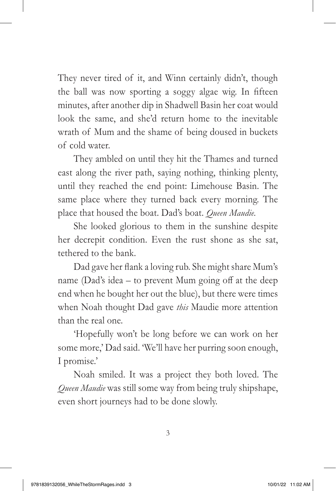They never tired of it, and Winn certainly didn't, though the ball was now sporting a soggy algae wig. In fifteen minutes, after another dip in Shadwell Basin her coat would look the same, and she'd return home to the inevitable wrath of Mum and the shame of being doused in buckets of cold water.

They ambled on until they hit the Thames and turned east along the river path, saying nothing, thinking plenty, until they reached the end point: Limehouse Basin. The same place where they turned back every morning. The place that housed the boat. Dad's boat. *Queen Maudie.*

She looked glorious to them in the sunshine despite her decrepit condition. Even the rust shone as she sat, tethered to the bank.

Dad gave her flank a loving rub. She might share Mum's name (Dad's idea – to prevent Mum going off at the deep end when he bought her out the blue), but there were times when Noah thought Dad gave *this* Maudie more attention than the real one.

'Hopefully won't be long before we can work on her some more,' Dad said. 'We'll have her purring soon enough, I promise.'

Noah smiled. It was a project they both loved. The *Queen Maudie* was still some way from being truly shipshape, even short journeys had to be done slowly.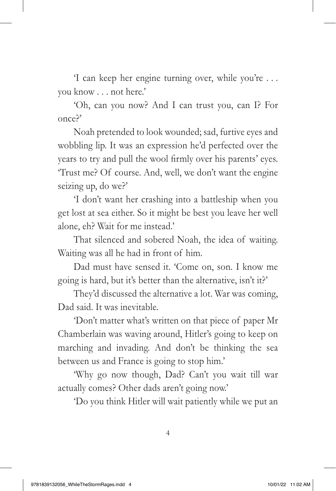'I can keep her engine turning over, while you're . . . you know . . . not here.'

'Oh, can you now? And I can trust you, can I? For once?'

Noah pretended to look wounded; sad, furtive eyes and wobbling lip. It was an expression he'd perfected over the years to try and pull the wool firmly over his parents' eyes. 'Trust me? Of course. And, well, we don't want the engine seizing up, do we?'

'I don't want her crashing into a battleship when you get lost at sea either. So it might be best you leave her well alone, eh? Wait for me instead.'

That silenced and sobered Noah, the idea of waiting. Waiting was all he had in front of him.

Dad must have sensed it. 'Come on, son. I know me going is hard, but it's better than the alternative, isn't it?'

They'd discussed the alternative a lot. War was coming, Dad said. It was inevitable.

'Don't matter what's written on that piece of paper Mr Chamberlain was waving around, Hitler's going to keep on marching and invading. And don't be thinking the sea between us and France is going to stop him.'

'Why go now though, Dad? Can't you wait till war actually comes? Other dads aren't going now.'

'Do you think Hitler will wait patiently while we put an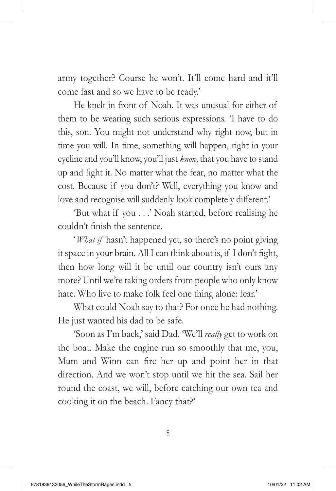army together? Course he won't. It'll come hard and it'll come fast and so we have to be ready.'

He knelt in front of Noah. It was unusual for either of them to be wearing such serious expressions. 'I have to do this, son. You might not understand why right now, but in time you will. In time, something will happen, right in your eyeline and you'll know, you'll just *know,* that you have to stand up and fight it. No matter what the fear, no matter what the cost. Because if you don't? Well, everything you know and love and recognise will suddenly look completely different.'

'But what if you . . .' Noah started, before realising he couldn't finish the sentence.

'*What if* hasn't happened yet, so there's no point giving it space in your brain. All I can think about is, if I don't fight, then how long will it be until our country isn't ours any more? Until we're taking orders from people who only know hate. Who live to make folk feel one thing alone: fear.'

What could Noah say to that? For once he had nothing. He just wanted his dad to be safe.

'Soon as I'm back,' said Dad. 'We'll *really* get to work on the boat. Make the engine run so smoothly that me, you, Mum and Winn can fire her up and point her in that direction. And we won't stop until we hit the sea. Sail her round the coast, we will, before catching our own tea and cooking it on the beach. Fancy that?'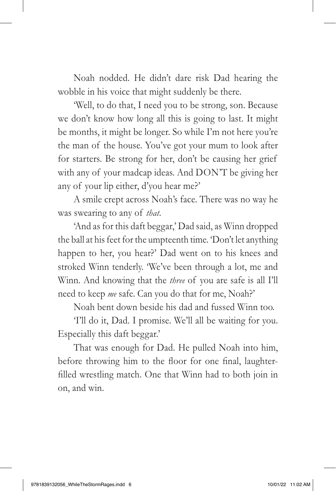Noah nodded. He didn't dare risk Dad hearing the wobble in his voice that might suddenly be there.

'Well, to do that, I need you to be strong, son. Because we don't know how long all this is going to last. It might be months, it might be longer. So while I'm not here you're the man of the house. You've got your mum to look after for starters. Be strong for her, don't be causing her grief with any of your madcap ideas. And DON'T be giving her any of your lip either, d'you hear me?'

A smile crept across Noah's face. There was no way he was swearing to any of *that*.

'And as for this daft beggar,' Dad said, as Winn dropped the ball at his feet for the umpteenth time. 'Don't let anything happen to her, you hear?' Dad went on to his knees and stroked Winn tenderly. 'We've been through a lot, me and Winn. And knowing that the *three* of you are safe is all I'll need to keep *me* safe. Can you do that for me, Noah?'

Noah bent down beside his dad and fussed Winn too.

'I'll do it, Dad. I promise. We'll all be waiting for you. Especially this daft beggar.'

That was enough for Dad. He pulled Noah into him, before throwing him to the floor for one final, laughterfilled wrestling match. One that Winn had to both join in on, and win.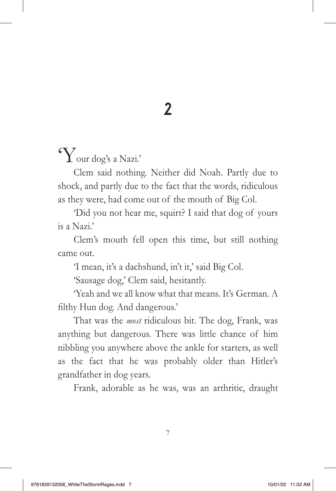## 2

## 'Your dog's a Nazi.'

Clem said nothing. Neither did Noah. Partly due to shock, and partly due to the fact that the words, ridiculous as they were, had come out of the mouth of Big Col.

'Did you not hear me, squirt? I said that dog of yours is a Nazi.'

Clem's mouth fell open this time, but still nothing came out.

'I mean, it's a dachshund, in't it,' said Big Col.

'Sausage dog,' Clem said, hesitantly.

'Yeah and we all know what that means. It's German. A filthy Hun dog. And dangerous.'

That was the *most* ridiculous bit. The dog, Frank, was anything but dangerous. There was little chance of him nibbling you anywhere above the ankle for starters, as well as the fact that he was probably older than Hitler's grandfather in dog years.

Frank, adorable as he was, was an arthritic, draught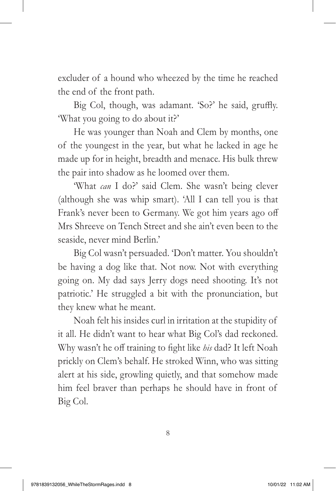excluder of a hound who wheezed by the time he reached the end of the front path.

Big Col, though, was adamant. 'So?' he said, gruffly. 'What you going to do about it?'

He was younger than Noah and Clem by months, one of the youngest in the year, but what he lacked in age he made up for in height, breadth and menace. His bulk threw the pair into shadow as he loomed over them.

'What *can* I do?' said Clem. She wasn't being clever (although she was whip smart). 'All I can tell you is that Frank's never been to Germany. We got him years ago off Mrs Shreeve on Tench Street and she ain't even been to the seaside, never mind Berlin.'

Big Col wasn't persuaded. 'Don't matter. You shouldn't be having a dog like that. Not now. Not with everything going on. My dad says Jerry dogs need shooting. It's not patriotic.' He struggled a bit with the pronunciation, but they knew what he meant.

Noah felt his insides curl in irritation at the stupidity of it all. He didn't want to hear what Big Col's dad reckoned. Why wasn't he off training to fight like *his* dad? It left Noah prickly on Clem's behalf. He stroked Winn, who was sitting alert at his side, growling quietly, and that somehow made him feel braver than perhaps he should have in front of Big Col.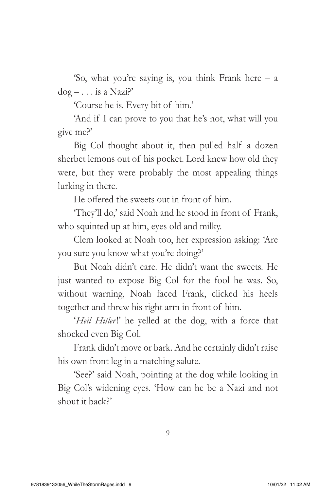'So, what you're saying is, you think Frank here – a  $d$ og –  $\dots$  is a Nazi?'

'Course he is. Every bit of him.'

'And if I can prove to you that he's not, what will you give me?'

Big Col thought about it, then pulled half a dozen sherbet lemons out of his pocket. Lord knew how old they were, but they were probably the most appealing things lurking in there.

He offered the sweets out in front of him.

'They'll do,' said Noah and he stood in front of Frank, who squinted up at him, eyes old and milky.

Clem looked at Noah too, her expression asking: 'Are you sure you know what you're doing?'

But Noah didn't care. He didn't want the sweets. He just wanted to expose Big Col for the fool he was. So, without warning, Noah faced Frank, clicked his heels together and threw his right arm in front of him.

'*Heil Hitler!*' he yelled at the dog, with a force that shocked even Big Col.

Frank didn't move or bark. And he certainly didn't raise his own front leg in a matching salute.

'See?' said Noah, pointing at the dog while looking in Big Col's widening eyes. 'How can he be a Nazi and not shout it back?'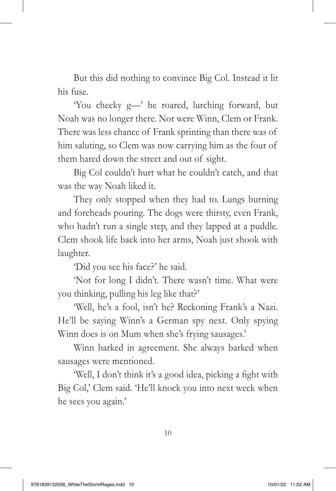But this did nothing to convince Big Col. Instead it lit his fuse.

'You cheeky g—' he roared, lurching forward, but Noah was no longer there. Nor were Winn, Clem or Frank. There was less chance of Frank sprinting than there was of him saluting, so Clem was now carrying him as the four of them hared down the street and out of sight.

Big Col couldn't hurt what he couldn't catch, and that was the way Noah liked it.

They only stopped when they had to. Lungs burning and foreheads pouring. The dogs were thirsty, even Frank, who hadn't run a single step, and they lapped at a puddle. Clem shook life back into her arms, Noah just shook with laughter.

'Did you see his face?' he said.

'Not for long I didn't. There wasn't time. What were you thinking, pulling his leg like that?'

'Well, he's a fool, isn't he? Reckoning Frank's a Nazi. He'll be saying Winn's a German spy next. Only spying Winn does is on Mum when she's frying sausages.'

Winn barked in agreement. She always barked when sausages were mentioned.

'Well, I don't think it's a good idea, picking a fight with Big Col,' Clem said. 'He'll knock you into next week when he sees you again.'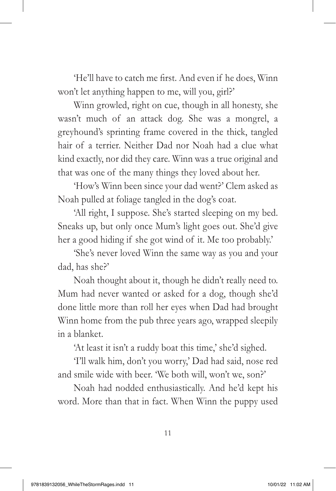'He'll have to catch me first. And even if he does, Winn won't let anything happen to me, will you, girl?'

Winn growled, right on cue, though in all honesty, she wasn't much of an attack dog. She was a mongrel, a greyhound's sprinting frame covered in the thick, tangled hair of a terrier. Neither Dad nor Noah had a clue what kind exactly, nor did they care. Winn was a true original and that was one of the many things they loved about her.

'How's Winn been since your dad went?' Clem asked as Noah pulled at foliage tangled in the dog's coat.

'All right, I suppose. She's started sleeping on my bed. Sneaks up, but only once Mum's light goes out. She'd give her a good hiding if she got wind of it. Me too probably.'

'She's never loved Winn the same way as you and your dad, has she?'

Noah thought about it, though he didn't really need to. Mum had never wanted or asked for a dog, though she'd done little more than roll her eyes when Dad had brought Winn home from the pub three years ago, wrapped sleepily in a blanket.

'At least it isn't a ruddy boat this time,' she'd sighed.

'I'll walk him, don't you worry,' Dad had said, nose red and smile wide with beer. 'We both will, won't we, son?'

Noah had nodded enthusiastically. And he'd kept his word. More than that in fact. When Winn the puppy used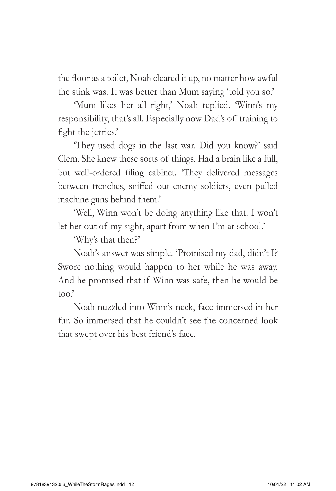the floor as a toilet, Noah cleared it up, no matter how awful the stink was. It was better than Mum saying 'told you so.'

'Mum likes her all right,' Noah replied. 'Winn's my responsibility, that's all. Especially now Dad's off training to fight the jerries.'

'They used dogs in the last war. Did you know?' said Clem. She knew these sorts of things. Had a brain like a full, but well-ordered filing cabinet. 'They delivered messages between trenches, sniffed out enemy soldiers, even pulled machine guns behind them.'

'Well, Winn won't be doing anything like that. I won't let her out of my sight, apart from when I'm at school.'

'Why's that then?'

Noah's answer was simple. 'Promised my dad, didn't I? Swore nothing would happen to her while he was away. And he promised that if Winn was safe, then he would be too.'

Noah nuzzled into Winn's neck, face immersed in her fur. So immersed that he couldn't see the concerned look that swept over his best friend's face.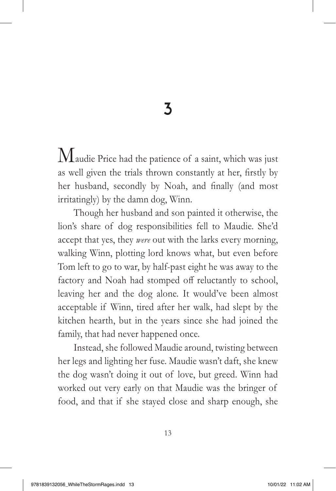3

 $M$ audie Price had the patience of a saint, which was just as well given the trials thrown constantly at her, firstly by her husband, secondly by Noah, and finally (and most irritatingly) by the damn dog, Winn.

Though her husband and son painted it otherwise, the lion's share of dog responsibilities fell to Maudie. She'd accept that yes, they *were* out with the larks every morning, walking Winn, plotting lord knows what, but even before Tom left to go to war, by half-past eight he was away to the factory and Noah had stomped off reluctantly to school, leaving her and the dog alone. It would've been almost acceptable if Winn, tired after her walk, had slept by the kitchen hearth, but in the years since she had joined the family, that had never happened once.

Instead, she followed Maudie around, twisting between her legs and lighting her fuse. Maudie wasn't daft, she knew the dog wasn't doing it out of love, but greed. Winn had worked out very early on that Maudie was the bringer of food, and that if she stayed close and sharp enough, she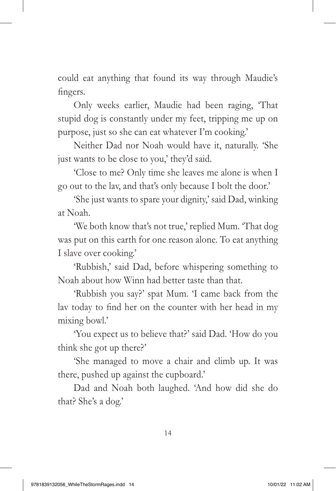could eat anything that found its way through Maudie's fingers.

Only weeks earlier, Maudie had been raging, 'That stupid dog is constantly under my feet, tripping me up on purpose, just so she can eat whatever I'm cooking.'

Neither Dad nor Noah would have it, naturally. 'She just wants to be close to you,' they'd said.

'Close to me? Only time she leaves me alone is when I go out to the lav, and that's only because I bolt the door.'

'She just wants to spare your dignity,' said Dad, winking at Noah.

'We both know that's not true,' replied Mum. 'That dog was put on this earth for one reason alone. To eat anything I slave over cooking.'

'Rubbish,' said Dad, before whispering something to Noah about how Winn had better taste than that.

'Rubbish you say?' spat Mum. 'I came back from the lav today to find her on the counter with her head in my mixing bowl.'

'You expect us to believe that?' said Dad. 'How do you think she got up there?'

'She managed to move a chair and climb up. It was there, pushed up against the cupboard.'

Dad and Noah both laughed. 'And how did she do that? She's a dog.'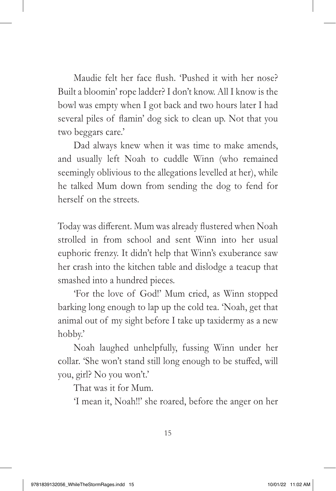Maudie felt her face flush. 'Pushed it with her nose? Built a bloomin' rope ladder? I don't know. All I know is the bowl was empty when I got back and two hours later I had several piles of flamin' dog sick to clean up. Not that you two beggars care.'

Dad always knew when it was time to make amends, and usually left Noah to cuddle Winn (who remained seemingly oblivious to the allegations levelled at her), while he talked Mum down from sending the dog to fend for herself on the streets.

Today was different. Mum was already flustered when Noah strolled in from school and sent Winn into her usual euphoric frenzy. It didn't help that Winn's exuberance saw her crash into the kitchen table and dislodge a teacup that smashed into a hundred pieces.

'For the love of God!' Mum cried, as Winn stopped barking long enough to lap up the cold tea. 'Noah, get that animal out of my sight before I take up taxidermy as a new hobby.'

Noah laughed unhelpfully, fussing Winn under her collar. 'She won't stand still long enough to be stuffed, will you, girl? No you won't.'

That was it for Mum.

'I mean it, Noah!!' she roared, before the anger on her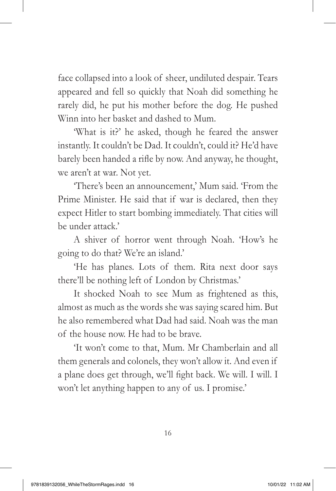face collapsed into a look of sheer, undiluted despair. Tears appeared and fell so quickly that Noah did something he rarely did, he put his mother before the dog. He pushed Winn into her basket and dashed to Mum.

'What is it?' he asked, though he feared the answer instantly. It couldn't be Dad. It couldn't, could it? He'd have barely been handed a rifle by now. And anyway, he thought, we aren't at war. Not yet.

'There's been an announcement,' Mum said. 'From the Prime Minister. He said that if war is declared, then they expect Hitler to start bombing immediately. That cities will be under attack.'

A shiver of horror went through Noah. 'How's he going to do that? We're an island.'

'He has planes. Lots of them. Rita next door says there'll be nothing left of London by Christmas.'

It shocked Noah to see Mum as frightened as this, almost as much as the words she was saying scared him. But he also remembered what Dad had said. Noah was the man of the house now. He had to be brave.

'It won't come to that, Mum. Mr Chamberlain and all them generals and colonels, they won't allow it. And even if a plane does get through, we'll fight back. We will. I will. I won't let anything happen to any of us. I promise.'